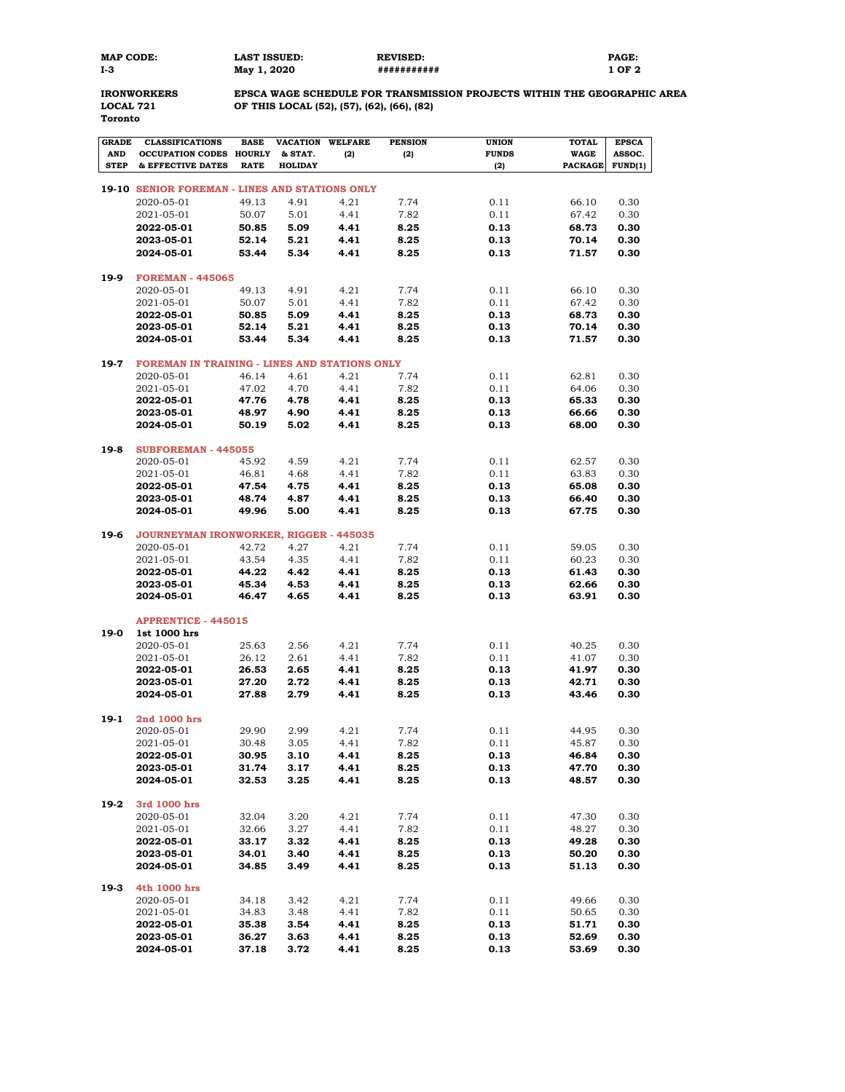| MAP CODE: | <b>LAST ISSUED:</b> | <b>REVISED:</b> | <b>PAGE:</b> |
|-----------|---------------------|-----------------|--------------|
| I-3       | May 1, 2020         | ###########     | l OF 2       |

**Toronto**

## **IRONWORKERS EPSCA WAGE SCHEDULE FOR TRANSMISSION PROJECTS WITHIN THE GEOGRAPHIC AREA LOCAL 721 OF THIS LOCAL (52), (57), (62), (66), (82)**

| <b>GRADE</b> | <b>CLASSIFICATIONS</b>                         | <b>BASE</b> | <b>VACATION</b> | <b>WELFARE</b> | <b>PENSION</b> | <b>UNION</b> | <b>TOTAL</b>   | <b>EPSCA</b> |
|--------------|------------------------------------------------|-------------|-----------------|----------------|----------------|--------------|----------------|--------------|
| <b>AND</b>   | <b>OCCUPATION CODES HOURLY</b>                 |             | & STAT.         | (2)            | (2)            | <b>FUNDS</b> | <b>WAGE</b>    | ASSOC.       |
| <b>STEP</b>  | & EFFECTIVE DATES                              | <b>RATE</b> | <b>HOLIDAY</b>  |                |                | (2)          | <b>PACKAGE</b> | FUND(1)      |
|              |                                                |             |                 |                |                |              |                |              |
|              | 19-10 SENIOR FOREMAN - LINES AND STATIONS ONLY |             |                 |                |                |              |                |              |
|              | 2020-05-01                                     | 49.13       | 4.91            | 4.21           | 7.74           | 0.11         | 66.10          | 0.30         |
|              | 2021-05-01                                     | 50.07       | 5.01            | 4.41           | 7.82           | 0.11         | 67.42          | 0.30         |
|              | 2022-05-01                                     | 50.85       | 5.09            | 4.41           | 8.25           | 0.13         | 68.73          | 0.30         |
|              | 2023-05-01                                     | 52.14       | 5.21            | 4.41           | 8.25           | 0.13         | 70.14          | 0.30         |
|              | 2024-05-01                                     | 53.44       | 5.34            | 4.41           | 8.25           | 0.13         | 71.57          | 0.30         |
|              |                                                |             |                 |                |                |              |                |              |
| 19-9         | <b>FOREMAN - 445065</b>                        |             |                 |                |                |              |                |              |
|              | 2020-05-01                                     | 49.13       | 4.91            | 4.21           | 7.74           | 0.11         | 66.10          | 0.30         |
|              | 2021-05-01                                     | 50.07       | 5.01            | 4.41           | 7.82           | 0.11         | 67.42          | 0.30         |
|              | 2022-05-01                                     | 50.85       | 5.09            | 4.41           | 8.25           | 0.13         | 68.73          | 0.30         |
|              |                                                |             |                 |                |                |              |                |              |
|              | 2023-05-01                                     | 52.14       | 5.21            | 4.41           | 8.25           | 0.13         | 70.14          | 0.30         |
|              | 2024-05-01                                     | 53.44       | 5.34            | 4.41           | 8.25           | 0.13         | 71.57          | 0.30         |
| 19-7         | FOREMAN IN TRAINING - LINES AND STATIONS ONLY  |             |                 |                |                |              |                |              |
|              |                                                |             |                 |                |                |              |                |              |
|              | 2020-05-01                                     | 46.14       | 4.61            | 4.21           | 7.74           | 0.11         | 62.81          | 0.30         |
|              | 2021-05-01                                     | 47.02       | 4.70            | 4.41           | 7.82           | 0.11         | 64.06          | 0.30         |
|              | 2022-05-01                                     | 47.76       | 4.78            | 4.41           | 8.25           | 0.13         | 65.33          | 0.30         |
|              | 2023-05-01                                     | 48.97       | 4.90            | 4.41           | 8.25           | 0.13         | 66.66          | 0.30         |
|              | 2024-05-01                                     | 50.19       | 5.02            | 4.41           | 8.25           | 0.13         | 68.00          | 0.30         |
|              |                                                |             |                 |                |                |              |                |              |
| 19-8         | <b>SUBFOREMAN - 445055</b>                     |             |                 |                |                |              |                |              |
|              | 2020-05-01                                     | 45.92       | 4.59            | 4.21           | 7.74           | 0.11         | 62.57          | 0.30         |
|              | 2021-05-01                                     | 46.81       | 4.68            | 4.41           | 7.82           | 0.11         | 63.83          | 0.30         |
|              | 2022-05-01                                     | 47.54       | 4.75            | 4.41           | 8.25           | 0.13         | 65.08          | 0.30         |
|              | 2023-05-01                                     | 48.74       | 4.87            | 4.41           | 8.25           | 0.13         | 66.40          | 0.30         |
|              | 2024-05-01                                     | 49.96       | 5.00            | 4.41           | 8.25           | 0.13         | 67.75          | 0.30         |
|              |                                                |             |                 |                |                |              |                |              |
| 19-6         | JOURNEYMAN IRONWORKER, RIGGER - 445035         |             |                 |                |                |              |                |              |
|              | 2020-05-01                                     | 42.72       | 4.27            | 4.21           | 7.74           | 0.11         | 59.05          | 0.30         |
|              | 2021-05-01                                     | 43.54       | 4.35            | 4.41           | 7.82           | 0.11         | 60.23          | 0.30         |
|              | 2022-05-01                                     | 44.22       | 4.42            | 4.41           | 8.25           | 0.13         | 61.43          | 0.30         |
|              | 2023-05-01                                     | 45.34       | 4.53            | 4.41           | 8.25           | 0.13         | 62.66          | 0.30         |
|              | 2024-05-01                                     | 46.47       | 4.65            | 4.41           | 8.25           | 0.13         | 63.91          | 0.30         |
|              |                                                |             |                 |                |                |              |                |              |
|              | <b>APPRENTICE - 445015</b>                     |             |                 |                |                |              |                |              |
| 19-0         | 1st 1000 hrs                                   |             |                 |                |                |              |                |              |
|              | 2020-05-01                                     | 25.63       | 2.56            | 4.21           | 7.74           | 0.11         | 40.25          | 0.30         |
|              | 2021-05-01                                     | 26.12       | 2.61            | 4.41           | 7.82           | 0.11         | 41.07          | 0.30         |
|              | 2022-05-01                                     | 26.53       | 2.65            | 4.41           | 8.25           | 0.13         | 41.97          | 0.30         |
|              | 2023-05-01                                     | 27.20       | 2.72            | 4.41           | 8.25           | 0.13         | 42.71          | 0.30         |
|              | 2024-05-01                                     | 27.88       | 2.79            | 4.41           | 8.25           | 0.13         | 43.46          | 0.30         |
|              |                                                |             |                 |                |                |              |                |              |
| $19-1$       | 2nd 1000 hrs                                   |             |                 |                |                |              |                |              |
|              | 2020-05-01                                     | 29.90       | 2.99            | 4.21           | 7.74           | 0.11         | 44.95          | 0.30         |
|              | 2021-05-01                                     | 30.48       | 3.05            | 4.41           | 7.82           | 0.11         | 45.87          | 0.30         |
|              | 2022-05-01                                     | 30.95       | 3.10            | 4.41           | 8.25           | 0.13         | 46.84          | 0.30         |
|              | 2023-05-01                                     | 31.74       | 3.17            | 4.41           | 8.25           | 0.13         | 47.70          | 0.30         |
|              | 2024-05-01                                     | 32.53       | 3.25            | 4.41           | 8.25           | 0.13         | 48.57          | 0.30         |
|              |                                                |             |                 |                |                |              |                |              |
| 19-2         | 3rd 1000 hrs                                   |             |                 |                |                |              |                |              |
|              | 2020-05-01                                     | 32.04       | 3.20            | 4.21           | 7.74           | 0.11         | 47.30          | 0.30         |
|              | 2021-05-01                                     | 32.66       | 3.27            | 4.41           | 7.82           | 0.11         | 48.27          | 0.30         |
|              | 2022-05-01                                     | 33.17       | 3.32            | 4.41           | 8.25           | 0.13         | 49.28          | 0.30         |
|              | 2023-05-01                                     | 34.01       | 3.40            | 4.41           | 8.25           | 0.13         | 50.20          | 0.30         |
|              | 2024-05-01                                     | 34.85       | 3.49            | 4.41           | 8.25           | 0.13         |                | 0.30         |
|              |                                                |             |                 |                |                |              | 51.13          |              |
| $19-3$       | 4th 1000 hrs                                   |             |                 |                |                |              |                |              |
|              | 2020-05-01                                     | 34.18       | 3.42            | 4.21           | 7.74           | 0.11         | 49.66          | 0.30         |
|              | 2021-05-01                                     | 34.83       | 3.48            | 4.41           | 7.82           | 0.11         | 50.65          | 0.30         |
|              | 2022-05-01                                     | 35.38       | 3.54            | 4.41           | 8.25           | 0.13         | 51.71          | 0.30         |
|              | 2023-05-01                                     | 36.27       | 3.63            | 4.41           | 8.25           | 0.13         | 52.69          | 0.30         |
|              | 2024-05-01                                     | 37.18       | 3.72            | 4.41           | 8.25           | 0.13         | 53.69          | 0.30         |
|              |                                                |             |                 |                |                |              |                |              |